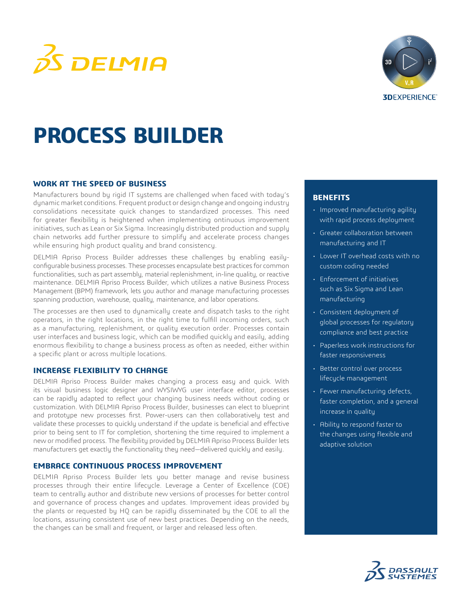



# **PROCESS BUILDER**

#### **WORK AT THE SPEED OF BUSINESS**

Manufacturers bound by rigid IT systems are challenged when faced with today's dynamic market conditions. Frequent product or design change and ongoing industry consolidations necessitate quick changes to standardized processes. This need for greater flexibility is heightened when implementing ontinuous improvement initiatives, such as Lean or Six Sigma. Increasingly distributed production and supply chain networks add further pressure to simplify and accelerate process changes while ensuring high product quality and brand consistency.

DELMIA Apriso Process Builder addresses these challenges by enabling easilyconfigurable business processes. These processes encapsulate best practices for common functionalities, such as part assembly, material replenishment, in-line quality, or reactive maintenance. DELMIA Apriso Process Builder, which utilizes a native Business Process Management (BPM) framework, lets you author and manage manufacturing processes spanning production, warehouse, quality, maintenance, and labor operations.

The processes are then used to dynamically create and dispatch tasks to the right operators, in the right locations, in the right time to fulfill incoming orders, such as a manufacturing, replenishment, or quality execution order. Processes contain user interfaces and business logic, which can be modified quickly and easily, adding enormous flexibility to change a business process as often as needed, either within a specific plant or across multiple locations.

#### **INCREASE FLEXIBILITY TO CHANGE**

DELMIA Apriso Process Builder makes changing a process easy and quick. With its visual business logic designer and WYSIWYG user interface editor, processes can be rapidly adapted to reflect your changing business needs without coding or customization. With DELMIA Apriso Process Builder, businesses can elect to blueprint and prototype new processes first. Power-users can then collaboratively test and validate these processes to quickly understand if the update is beneficial and effective prior to being sent to IT for completion, shortening the time required to implement a new or modified process. The flexibility provided by DELMIA Apriso Process Builder lets manufacturers get exactly the functionality they need—delivered quickly and easily.

### **EMBRACE CONTINUOUS PROCESS IMPROVEMENT**

DELMIA Apriso Process Builder lets you better manage and revise business processes through their entire lifecycle. Leverage a Center of Excellence (COE) team to centrally author and distribute new versions of processes for better control and governance of process changes and updates. Improvement ideas provided by the plants or requested by HQ can be rapidly disseminated by the COE to all the locations, assuring consistent use of new best practices. Depending on the needs, the changes can be small and frequent, or larger and released less often.

#### **BENEFITS**

- Improved manufacturing agility with rapid process deployment
- Greater collaboration between manufacturing and IT
- Lower IT overhead costs with no custom coding needed
- Enforcement of initiatives such as Six Sigma and Lean manufacturing
- Consistent deployment of global processes for regulatory compliance and best practice
- Paperless work instructions for faster responsiveness
- Better control over process lifecycle management
- Fewer manufacturing defects, faster completion, and a general increase in quality
- Ability to respond faster to the changes using flexible and adaptive solution